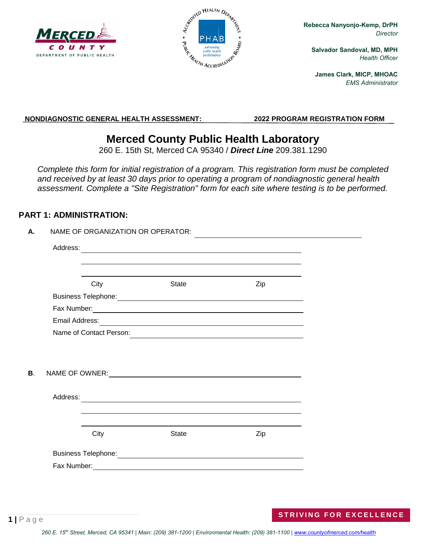



**Rebecca Nanyonjo-Kemp, DrPH** *Director*

**Salvador Sandoval, MD, MPH** *Health Officer*

**James Clark, MICP, MHOAC** *EMS Administrator*

**NONDIAGNOSTIC GENERAL HEALTH ASSESSMENT: 2022 PROGRAM REGISTRATION FORM** 

# **Merced County Public Health Laboratory**

260 E. 15th St, Merced CA 95340 / *Direct Line* 209.381.1290

*Complete this form for initial registration of a program. This registration form must be completed and received by at least 30 days prior to operating a program of nondiagnostic general health assessment. Complete a "Site Registration" form for each site where testing is to be performed.*

### **PART 1: ADMINISTRATION:**

| Α. |          | NAME OF ORGANIZATION OR OPERATOR: |                                           |     |  |
|----|----------|-----------------------------------|-------------------------------------------|-----|--|
|    | Address: |                                   |                                           |     |  |
|    |          |                                   |                                           |     |  |
|    |          | City                              | <b>State</b>                              | Zip |  |
|    |          |                                   |                                           |     |  |
|    |          |                                   |                                           |     |  |
|    |          |                                   |                                           |     |  |
|    |          | Name of Contact Person:           |                                           |     |  |
| В. |          |                                   |                                           |     |  |
|    | Address: |                                   |                                           |     |  |
|    |          |                                   |                                           |     |  |
|    |          |                                   |                                           |     |  |
|    |          | City                              | <b>State</b>                              | Zip |  |
|    |          |                                   |                                           |     |  |
|    |          |                                   | Fax Number: <u>Contract Communication</u> |     |  |
|    |          |                                   |                                           |     |  |

#### **1 |** Page **ST[RIVING FOR EX](http://www.co.merced.ca.us/health)CELLENCE**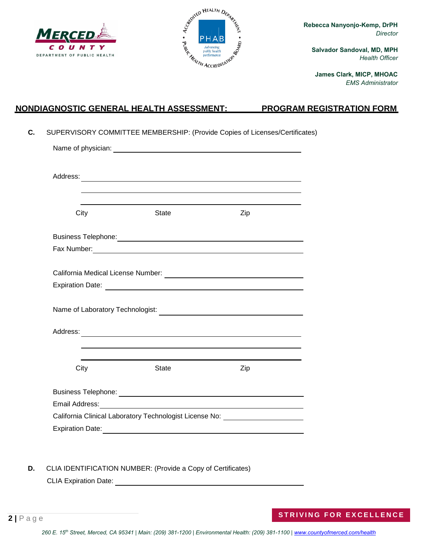



**Rebecca Nanyonjo-Kemp, DrPH** *Director*

**Salvador Sandoval, MD, MPH** *Health Officer*

**James Clark, MICP, MHOAC** *EMS Administrator*

### **NONDIAGNOSTIC GENERAL HEALTH ASSESSMENT: PROGRAM REGISTRATION FORM**

**C.** SUPERVISORY COMMITTEE MEMBERSHIP: (Provide Copies of Licenses/Certificates)

| City | <b>State</b>                                                                                                                                                                                                                        | Zip |  |  |  |  |
|------|-------------------------------------------------------------------------------------------------------------------------------------------------------------------------------------------------------------------------------------|-----|--|--|--|--|
|      |                                                                                                                                                                                                                                     |     |  |  |  |  |
|      |                                                                                                                                                                                                                                     |     |  |  |  |  |
|      |                                                                                                                                                                                                                                     |     |  |  |  |  |
|      |                                                                                                                                                                                                                                     |     |  |  |  |  |
|      |                                                                                                                                                                                                                                     |     |  |  |  |  |
| City | <b>State</b>                                                                                                                                                                                                                        | Zip |  |  |  |  |
|      |                                                                                                                                                                                                                                     |     |  |  |  |  |
|      | Email Address: <u>Communications</u> of the contract of the contract of the contract of the contract of the contract of the contract of the contract of the contract of the contract of the contract of the contract of the contrac |     |  |  |  |  |
|      | California Clinical Laboratory Technologist License No: ________________________                                                                                                                                                    |     |  |  |  |  |
|      |                                                                                                                                                                                                                                     |     |  |  |  |  |

**D.** CLIA IDENTIFICATION NUMBER: (Provide a Copy of Certificates) CLIA Expiration Date: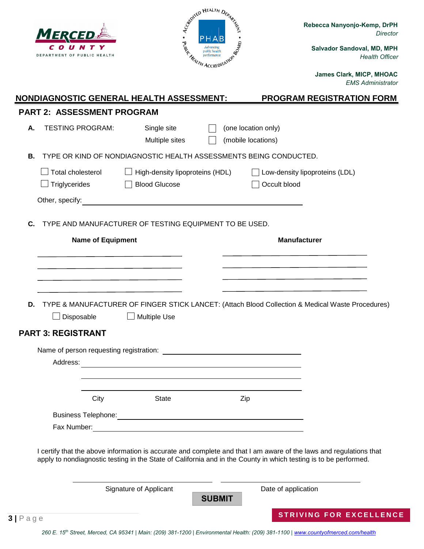| MERCED                                                                                                                                                                                                                                 |                                 | Cemited HEALTH DEPART                                                                                                                                                                                                                |                     |                                  | Rebecca Nanyonjo-Kemp, DrPH<br><b>Director</b>       |
|----------------------------------------------------------------------------------------------------------------------------------------------------------------------------------------------------------------------------------------|---------------------------------|--------------------------------------------------------------------------------------------------------------------------------------------------------------------------------------------------------------------------------------|---------------------|----------------------------------|------------------------------------------------------|
| DEPARTMENT OF PUBLIC HEALTH                                                                                                                                                                                                            |                                 | <b>PERFECTION SERVICE DESCRIPTION OF SALARITY ACCREDITATION SERVICE DESCRIPTION OF SALARITY OF SALARITY OF SALARITY OF SALARITY OF SALARITY OF SALARITY OF SALARITY OF SALARITY OF SALARITY OF SALARITY OF SALARITY OF SALARITY </b> |                     |                                  | Salvador Sandoval, MD, MPH<br><b>Health Officer</b>  |
|                                                                                                                                                                                                                                        |                                 |                                                                                                                                                                                                                                      |                     |                                  | James Clark, MICP, MHOAC<br><b>EMS Administrator</b> |
| <b>NONDIAGNOSTIC GENERAL HEALTH ASSESSMENT:</b>                                                                                                                                                                                        |                                 |                                                                                                                                                                                                                                      |                     | <b>PROGRAM REGISTRATION FORM</b> |                                                      |
| <b>PART 2: ASSESSMENT PROGRAM</b>                                                                                                                                                                                                      |                                 |                                                                                                                                                                                                                                      |                     |                                  |                                                      |
| <b>TESTING PROGRAM:</b><br>А.                                                                                                                                                                                                          | Single site                     |                                                                                                                                                                                                                                      | (one location only) |                                  |                                                      |
|                                                                                                                                                                                                                                        | Multiple sites                  |                                                                                                                                                                                                                                      | (mobile locations)  |                                  |                                                      |
| TYPE OR KIND OF NONDIAGNOSTIC HEALTH ASSESSMENTS BEING CONDUCTED.<br>В.                                                                                                                                                                |                                 |                                                                                                                                                                                                                                      |                     |                                  |                                                      |
| Total cholesterol                                                                                                                                                                                                                      | High-density lipoproteins (HDL) |                                                                                                                                                                                                                                      |                     | Low-density lipoproteins (LDL)   |                                                      |
| $\Box$ Triglycerides                                                                                                                                                                                                                   | <b>Blood Glucose</b>            |                                                                                                                                                                                                                                      |                     | Occult blood                     |                                                      |
| Other, specify:                                                                                                                                                                                                                        |                                 |                                                                                                                                                                                                                                      |                     |                                  |                                                      |
|                                                                                                                                                                                                                                        |                                 |                                                                                                                                                                                                                                      |                     | <b>Manufacturer</b>              |                                                      |
| <b>Name of Equipment</b>                                                                                                                                                                                                               |                                 |                                                                                                                                                                                                                                      |                     |                                  |                                                      |
|                                                                                                                                                                                                                                        |                                 |                                                                                                                                                                                                                                      |                     |                                  |                                                      |
|                                                                                                                                                                                                                                        |                                 |                                                                                                                                                                                                                                      |                     |                                  |                                                      |
| TYPE & MANUFACTURER OF FINGER STICK LANCET: (Attach Blood Collection & Medical Waste Procedures)<br>D.<br>$\Box$ Disposable                                                                                                            | $\Box$ Multiple Use             |                                                                                                                                                                                                                                      |                     |                                  |                                                      |
| <b>PART 3: REGISTRANT</b>                                                                                                                                                                                                              |                                 |                                                                                                                                                                                                                                      |                     |                                  |                                                      |
|                                                                                                                                                                                                                                        |                                 |                                                                                                                                                                                                                                      |                     |                                  |                                                      |
|                                                                                                                                                                                                                                        |                                 |                                                                                                                                                                                                                                      |                     |                                  |                                                      |
|                                                                                                                                                                                                                                        |                                 |                                                                                                                                                                                                                                      |                     |                                  |                                                      |
| City                                                                                                                                                                                                                                   | State                           |                                                                                                                                                                                                                                      | Zip                 |                                  |                                                      |
| Business Telephone: <u>Contract of the Contract of the Contract of the Contract of the Contract of the Contract of the Contract of the Contract of the Contract of the Contract of the Contract of the Contract of the Contract </u>   |                                 |                                                                                                                                                                                                                                      |                     |                                  |                                                      |
|                                                                                                                                                                                                                                        |                                 |                                                                                                                                                                                                                                      |                     |                                  |                                                      |
| I certify that the above information is accurate and complete and that I am aware of the laws and regulations that<br>apply to nondiagnostic testing in the State of California and in the County in which testing is to be performed. |                                 |                                                                                                                                                                                                                                      |                     |                                  |                                                      |
|                                                                                                                                                                                                                                        | Signature of Applicant          | <b>SUBMIT</b>                                                                                                                                                                                                                        |                     | Date of application              |                                                      |

260 E. 15<sup>th</sup> Street, Merced, CA 95341 | Main: (209) 381-1200 | Environmental Health: (209) 381-1100 | **www.countyofmerced.com/health**